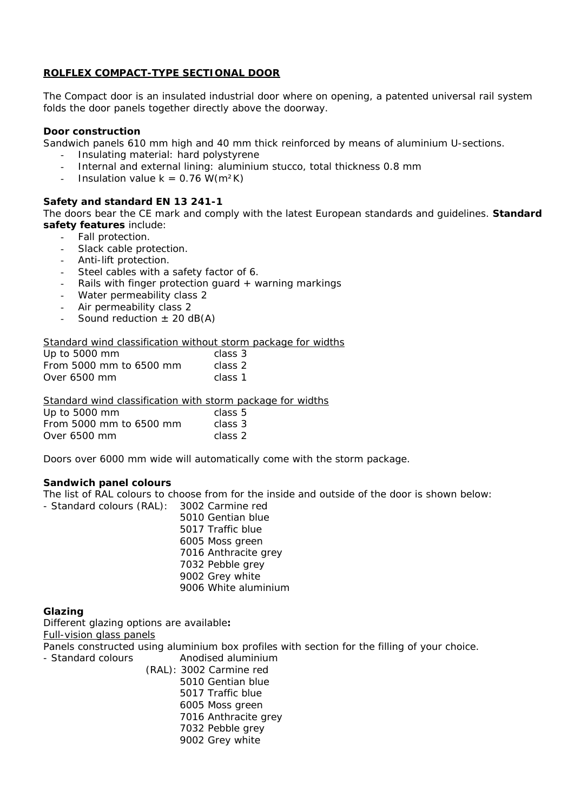# **ROLFLEX COMPACT-TYPE SECTIONAL DOOR**

The Compact door is an insulated industrial door where on opening, a patented universal rail system folds the door panels together directly above the doorway.

### **Door construction**

Sandwich panels 610 mm high and 40 mm thick reinforced by means of aluminium U-sections.

- Insulating material: hard polystyrene
- Internal and external lining: aluminium stucco, total thickness 0.8 mm
- Insulation value  $k = 0.76$  W(m<sup>2</sup>K)

### **Safety and standard EN 13 241-1**

The doors bear the CE mark and comply with the latest European standards and guidelines. **Standard safety features** include:

- Fall protection.
- Slack cable protection.
- Anti-lift protection.
- Steel cables with a safety factor of 6.
- Rails with finger protection quard  $+$  warning markings
- Water permeability class 2
- Air permeability class 2
- Sound reduction  $\pm$  20 dB(A)

### Standard wind classification without storm package for widths

| Up to 5000 mm           | class 3 |
|-------------------------|---------|
| From 5000 mm to 6500 mm | class 2 |
| Over 6500 mm            | class 1 |

Standard wind classification with storm package for widths

| Up to 5000 mm           | class 5 |
|-------------------------|---------|
| From 5000 mm to 6500 mm | class 3 |
| Over 6500 mm            | class 2 |

Doors over 6000 mm wide will automatically come with the storm package.

### **Sandwich panel colours**

The list of RAL colours to choose from for the inside and outside of the door is shown below:

- Standard colours (RAL): 3002 Carmine red
	- 5010 Gentian blue 5017 Traffic blue 6005 Moss green 7016 Anthracite grey 7032 Pebble grey 9002 Grey white 9006 White aluminium

## **Glazing**

Different glazing options are available**:** Full-vision glass panels

Panels constructed using aluminium box profiles with section for the filling of your choice.

- Standard colours **Anodised aluminium** 
	- (RAL): 3002 Carmine red
		- 5010 Gentian blue
		- 5017 Traffic blue
		- 6005 Moss green
		- 7016 Anthracite grey
		- 7032 Pebble grey
		- 9002 Grey white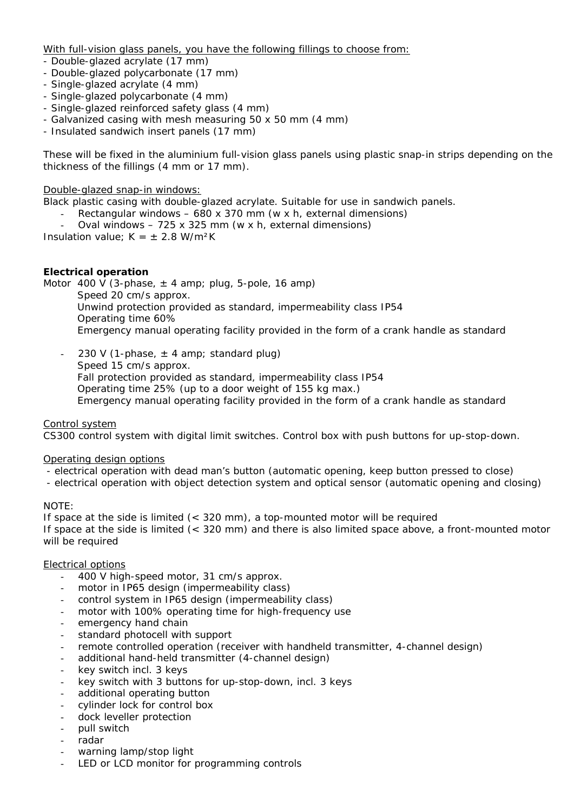With full-vision glass panels, you have the following fillings to choose from:

- Double-glazed acrylate (17 mm)
- Double-glazed polycarbonate (17 mm)
- Single-glazed acrylate (4 mm)
- Single-glazed polycarbonate (4 mm)
- Single-glazed reinforced safety glass (4 mm)
- Galvanized casing with mesh measuring 50 x 50 mm (4 mm)
- Insulated sandwich insert panels (17 mm)

These will be fixed in the aluminium full-vision glass panels using plastic snap-in strips depending on the thickness of the fillings (4 mm or 17 mm).

Double-glazed snap-in windows:

- Black plastic casing with double-glazed acrylate. Suitable for use in sandwich panels.
	- Rectangular windows  $-$  680 x 370 mm (w x h, external dimensions)
		- Oval windows  $725 \times 325$  mm (w x h, external dimensions)

Insulation value;  $K = \pm 2.8$  W/m<sup>2</sup>K

## **Electrical operation**

Motor 400 V (3-phase,  $\pm$  4 amp; plug, 5-pole, 16 amp) Speed 20 cm/s approx. Unwind protection provided as standard, impermeability class IP54 Operating time 60% Emergency manual operating facility provided in the form of a crank handle as standard

230 V (1-phase,  $\pm$  4 amp; standard plug) Speed 15 cm/s approx. Fall protection provided as standard, impermeability class IP54 Operating time 25% (up to a door weight of 155 kg max.) Emergency manual operating facility provided in the form of a crank handle as standard

Control system

CS300 control system with digital limit switches. Control box with push buttons for up-stop-down.

## Operating design options

- electrical operation with dead man's button (automatic opening, keep button pressed to close)
- electrical operation with object detection system and optical sensor (automatic opening and closing)

## NOTE:

If space at the side is limited (< 320 mm), a top-mounted motor will be required If space at the side is limited (< 320 mm) and there is also limited space above, a front-mounted motor will be required

## Electrical options

- 400 V high-speed motor, 31 cm/s approx.
- motor in IP65 design (impermeability class)
- control system in IP65 design (impermeability class)
- motor with 100% operating time for high-frequency use
- emergency hand chain
- standard photocell with support
- remote controlled operation (receiver with handheld transmitter, 4-channel design)
- additional hand-held transmitter (4-channel design)
- key switch incl. 3 keys
- key switch with 3 buttons for up-stop-down, incl. 3 keys
- additional operating button
- cylinder lock for control box
- dock leveller protection
- pull switch
- radar
- warning lamp/stop light
- LED or LCD monitor for programming controls